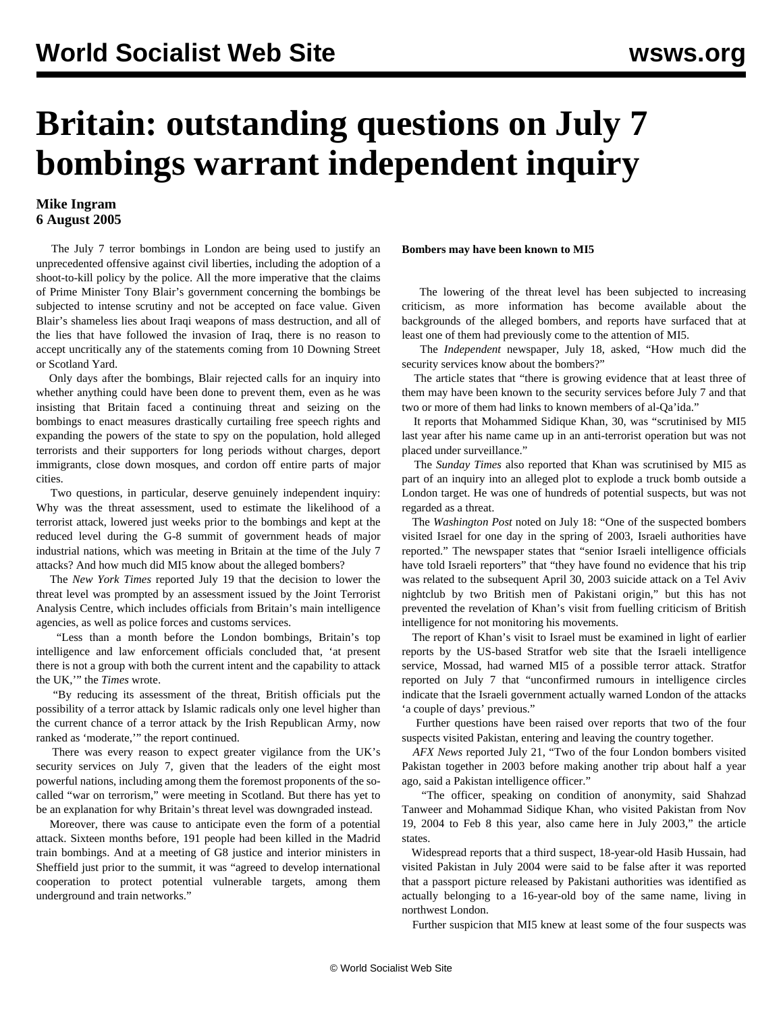# **Britain: outstanding questions on July 7 bombings warrant independent inquiry**

## **Mike Ingram 6 August 2005**

 The July 7 terror bombings in London are being used to justify an unprecedented offensive against civil liberties, including the adoption of a shoot-to-kill policy by the police. All the more imperative that the claims of Prime Minister Tony Blair's government concerning the bombings be subjected to intense scrutiny and not be accepted on face value. Given Blair's shameless lies about Iraqi weapons of mass destruction, and all of the lies that have followed the invasion of Iraq, there is no reason to accept uncritically any of the statements coming from 10 Downing Street or Scotland Yard.

 Only days after the bombings, Blair rejected calls for an inquiry into whether anything could have been done to prevent them, even as he was insisting that Britain faced a continuing threat and seizing on the bombings to enact measures drastically curtailing free speech rights and expanding the powers of the state to spy on the population, hold alleged terrorists and their supporters for long periods without charges, deport immigrants, close down mosques, and cordon off entire parts of major cities.

 Two questions, in particular, deserve genuinely independent inquiry: Why was the threat assessment, used to estimate the likelihood of a terrorist attack, lowered just weeks prior to the bombings and kept at the reduced level during the G-8 summit of government heads of major industrial nations, which was meeting in Britain at the time of the July 7 attacks? And how much did MI5 know about the alleged bombers?

 The *New York Times* reported July 19 that the decision to lower the threat level was prompted by an assessment issued by the Joint Terrorist Analysis Centre, which includes officials from Britain's main intelligence agencies, as well as police forces and customs services.

 "Less than a month before the London bombings, Britain's top intelligence and law enforcement officials concluded that, 'at present there is not a group with both the current intent and the capability to attack the UK,'" the *Times* wrote.

 "By reducing its assessment of the threat, British officials put the possibility of a terror attack by Islamic radicals only one level higher than the current chance of a terror attack by the Irish Republican Army, now ranked as 'moderate,'" the report continued.

 There was every reason to expect greater vigilance from the UK's security services on July 7, given that the leaders of the eight most powerful nations, including among them the foremost proponents of the socalled "war on terrorism," were meeting in Scotland. But there has yet to be an explanation for why Britain's threat level was downgraded instead.

 Moreover, there was cause to anticipate even the form of a potential attack. Sixteen months before, 191 people had been killed in the Madrid train bombings. And at a meeting of G8 justice and interior ministers in Sheffield just prior to the summit, it was "agreed to develop international cooperation to protect potential vulnerable targets, among them underground and train networks."

## **Bombers may have been known to MI5**

 The lowering of the threat level has been subjected to increasing criticism, as more information has become available about the backgrounds of the alleged bombers, and reports have surfaced that at least one of them had previously come to the attention of MI5.

 The *Independent* newspaper, July 18, asked, "How much did the security services know about the bombers?"

 The article states that "there is growing evidence that at least three of them may have been known to the security services before July 7 and that two or more of them had links to known members of al-Qa'ida."

 It reports that Mohammed Sidique Khan, 30, was "scrutinised by MI5 last year after his name came up in an anti-terrorist operation but was not placed under surveillance."

 The *Sunday Times* also reported that Khan was scrutinised by MI5 as part of an inquiry into an alleged plot to explode a truck bomb outside a London target. He was one of hundreds of potential suspects, but was not regarded as a threat.

 The *Washington Post* noted on July 18: "One of the suspected bombers visited Israel for one day in the spring of 2003, Israeli authorities have reported." The newspaper states that "senior Israeli intelligence officials have told Israeli reporters" that "they have found no evidence that his trip was related to the subsequent April 30, 2003 suicide attack on a Tel Aviv nightclub by two British men of Pakistani origin," but this has not prevented the revelation of Khan's visit from fuelling criticism of British intelligence for not monitoring his movements.

 The report of Khan's visit to Israel must be examined in light of earlier reports by the US-based Stratfor web site that the Israeli intelligence service, Mossad, had warned MI5 of a possible terror attack. Stratfor reported on July 7 that "unconfirmed rumours in intelligence circles indicate that the Israeli government actually warned London of the attacks 'a couple of days' previous."

 Further questions have been raised over reports that two of the four suspects visited Pakistan, entering and leaving the country together.

 *AFX News* reported July 21, "Two of the four London bombers visited Pakistan together in 2003 before making another trip about half a year ago, said a Pakistan intelligence officer."

 "The officer, speaking on condition of anonymity, said Shahzad Tanweer and Mohammad Sidique Khan, who visited Pakistan from Nov 19, 2004 to Feb 8 this year, also came here in July 2003," the article states.

 Widespread reports that a third suspect, 18-year-old Hasib Hussain, had visited Pakistan in July 2004 were said to be false after it was reported that a passport picture released by Pakistani authorities was identified as actually belonging to a 16-year-old boy of the same name, living in northwest London.

Further suspicion that MI5 knew at least some of the four suspects was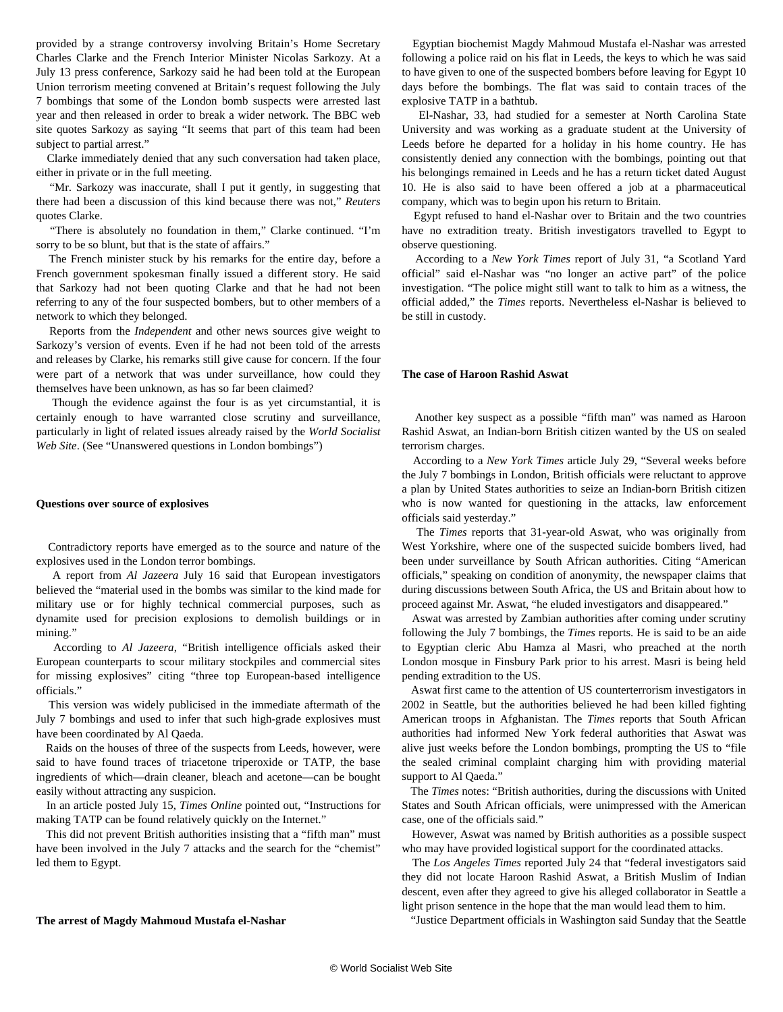provided by a strange controversy involving Britain's Home Secretary Charles Clarke and the French Interior Minister Nicolas Sarkozy. At a July 13 press conference, Sarkozy said he had been told at the European Union terrorism meeting convened at Britain's request following the July 7 bombings that some of the London bomb suspects were arrested last year and then released in order to break a wider network. The BBC web site quotes Sarkozy as saying "It seems that part of this team had been subject to partial arrest."

 Clarke immediately denied that any such conversation had taken place, either in private or in the full meeting.

 "Mr. Sarkozy was inaccurate, shall I put it gently, in suggesting that there had been a discussion of this kind because there was not," *Reuters* quotes Clarke.

 "There is absolutely no foundation in them," Clarke continued. "I'm sorry to be so blunt, but that is the state of affairs."

 The French minister stuck by his remarks for the entire day, before a French government spokesman finally issued a different story. He said that Sarkozy had not been quoting Clarke and that he had not been referring to any of the four suspected bombers, but to other members of a network to which they belonged.

 Reports from the *Independent* and other news sources give weight to Sarkozy's version of events. Even if he had not been told of the arrests and releases by Clarke, his remarks still give cause for concern. If the four were part of a network that was under surveillance, how could they themselves have been unknown, as has so far been claimed?

 Though the evidence against the four is as yet circumstantial, it is certainly enough to have warranted close scrutiny and surveillance, particularly in light of related issues already raised by the *World Socialist Web Site*. (See "[Unanswered questions in London bombings](/en/articles/2005/07/lond-j11.html)")

#### **Questions over source of explosives**

 Contradictory reports have emerged as to the source and nature of the explosives used in the London terror bombings.

 A report from *Al Jazeera* July 16 said that European investigators believed the "material used in the bombs was similar to the kind made for military use or for highly technical commercial purposes, such as dynamite used for precision explosions to demolish buildings or in mining."

 According to *Al Jazeera*, "British intelligence officials asked their European counterparts to scour military stockpiles and commercial sites for missing explosives" citing "three top European-based intelligence officials."

 This version was widely publicised in the immediate aftermath of the July 7 bombings and used to infer that such high-grade explosives must have been coordinated by Al Qaeda.

 Raids on the houses of three of the suspects from Leeds, however, were said to have found traces of triacetone triperoxide or TATP, the base ingredients of which—drain cleaner, bleach and acetone—can be bought easily without attracting any suspicion.

 In an article posted July 15, *Times Online* pointed out, "Instructions for making TATP can be found relatively quickly on the Internet."

 This did not prevent British authorities insisting that a "fifth man" must have been involved in the July 7 attacks and the search for the "chemist" led them to Egypt.

#### **The arrest of Magdy Mahmoud Mustafa el-Nashar**

 Egyptian biochemist Magdy Mahmoud Mustafa el-Nashar was arrested following a police raid on his flat in Leeds, the keys to which he was said to have given to one of the suspected bombers before leaving for Egypt 10 days before the bombings. The flat was said to contain traces of the explosive TATP in a bathtub.

 El-Nashar, 33, had studied for a semester at North Carolina State University and was working as a graduate student at the University of Leeds before he departed for a holiday in his home country. He has consistently denied any connection with the bombings, pointing out that his belongings remained in Leeds and he has a return ticket dated August 10. He is also said to have been offered a job at a pharmaceutical company, which was to begin upon his return to Britain.

 Egypt refused to hand el-Nashar over to Britain and the two countries have no extradition treaty. British investigators travelled to Egypt to observe questioning.

 According to a *New York Times* report of July 31, "a Scotland Yard official" said el-Nashar was "no longer an active part" of the police investigation. "The police might still want to talk to him as a witness, the official added," the *Times* reports. Nevertheless el-Nashar is believed to be still in custody.

#### **The case of Haroon Rashid Aswat**

 Another key suspect as a possible "fifth man" was named as Haroon Rashid Aswat, an Indian-born British citizen wanted by the US on sealed terrorism charges.

 According to a *New York Times* article July 29, "Several weeks before the July 7 bombings in London, British officials were reluctant to approve a plan by United States authorities to seize an Indian-born British citizen who is now wanted for questioning in the attacks, law enforcement officials said yesterday."

 The *Times* reports that 31-year-old Aswat, who was originally from West Yorkshire, where one of the suspected suicide bombers lived, had been under surveillance by South African authorities. Citing "American officials," speaking on condition of anonymity, the newspaper claims that during discussions between South Africa, the US and Britain about how to proceed against Mr. Aswat, "he eluded investigators and disappeared."

 Aswat was arrested by Zambian authorities after coming under scrutiny following the July 7 bombings, the *Times* reports. He is said to be an aide to Egyptian cleric Abu Hamza al Masri, who preached at the north London mosque in Finsbury Park prior to his arrest. Masri is being held pending extradition to the US.

 Aswat first came to the attention of US counterterrorism investigators in 2002 in Seattle, but the authorities believed he had been killed fighting American troops in Afghanistan. The *Times* reports that South African authorities had informed New York federal authorities that Aswat was alive just weeks before the London bombings, prompting the US to "file the sealed criminal complaint charging him with providing material support to Al Qaeda."

 The *Times* notes: "British authorities, during the discussions with United States and South African officials, were unimpressed with the American case, one of the officials said."

 However, Aswat was named by British authorities as a possible suspect who may have provided logistical support for the coordinated attacks.

 The *Los Angeles Times* reported July 24 that "federal investigators said they did not locate Haroon Rashid Aswat, a British Muslim of Indian descent, even after they agreed to give his alleged collaborator in Seattle a light prison sentence in the hope that the man would lead them to him.

"Justice Department officials in Washington said Sunday that the Seattle